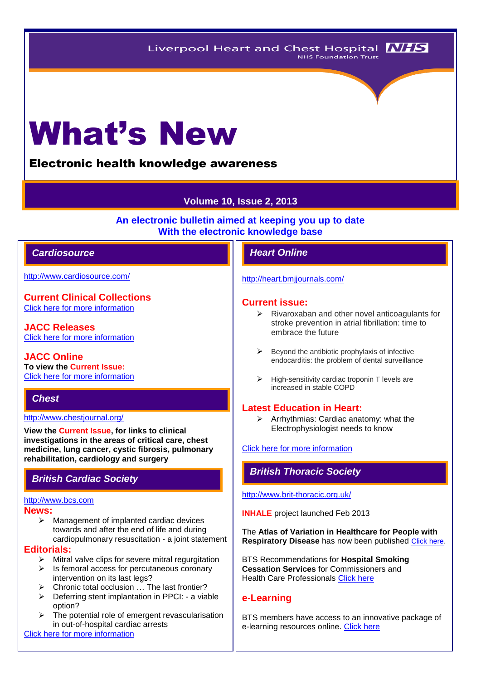# What's New

# Electronic health knowledge awareness

# **Volume 10, Issue 2, 2013**

**An electronic bulletin aimed at keeping you up to date With the electronic knowledge base**

# *Cardiosource Heart Online*

<http://www.cardiosource.com/>

**Current Clinical Collections** [Click here for more information](http://www.cardiosource.org/science-and-quality/clinical-collections.aspx)

**JACC Releases** [Click here for more information](http://www.cardiosource.org/news-media/media-center/jacc-releases.aspx)

**JACC Online To view the Current Issue:** [Click here for more information](http://content.onlinejacc.org/current.dtl)

# *Chest*

#### <http://www.chestjournal.org/>

**View the Current Issue, for links to clinical investigations in the areas of critical care, chest medicine, lung cancer, cystic fibrosis, pulmonary rehabilitation, cardiology and surgery**

#### [http://www.bcs.com](http://www.bcs.com/)

#### **News:**

 $\triangleright$  Management of implanted cardiac devices towards and after the end of life and during cardiopulmonary resuscitation - a joint statement

#### **Editorials:**

- $\triangleright$  Mitral valve clips for severe mitral regurgitation
- $\triangleright$  Is femoral access for percutaneous coronary intervention on its last legs?
- $\triangleright$  Chronic total occlusion ... The last frontier?
- $\triangleright$  Deferring stent implantation in PPCI: a viable option?
- The potential role of emergent revascularisation in out-of-hospital cardiac arrests

[Click here for more information](http://www.bcs.com/editorial/editorial.asp)

#### <http://heart.bmjjournals.com/>

#### **Current issue:**

- $\triangleright$  Rivaroxaban and other novel anticoagulants for stroke prevention in atrial fibrillation: time to embrace the future
- Beyond the antibiotic prophylaxis of infective endocarditis: the problem of dental surveillance
- $\triangleright$  High-sensitivity cardiac troponin T levels are increased in stable COPD

# **Latest Education in Heart:**

 $\triangleright$  Arrhythmias: Cardiac anatomy: what the Electrophysiologist needs to know

#### [Click here for more information](http://heart.bmj.com/site/about/education.xhtml)

# *British Cardiac Society British Thoracic Society*

#### <http://www.brit-thoracic.org.uk/>

**INHALE** project launched Feb 2013

The **Atlas of Variation in Healthcare for People with Respiratory Disease** has now been published [Click here.](http://www.rightcare.nhs.uk/index.php/atlas/respiratorydisease/)

BTS Recommendations for **Hospital Smoking Cessation Services** for Commissioners and Health Care Professionals [Click here](http://www.brit-thoracic.org.uk/Portals/0/Delivery%20of%20RespCare/Stop%20Smoking%20Champions/Smoking_Cessation_Report.pdf)

## **e-Learning**

BTS members have access to an innovative package of e-learning resources online. [Click here](http://www.brit-thoracic.org.uk/BTS-Learning-Hub/e-Learning.aspx)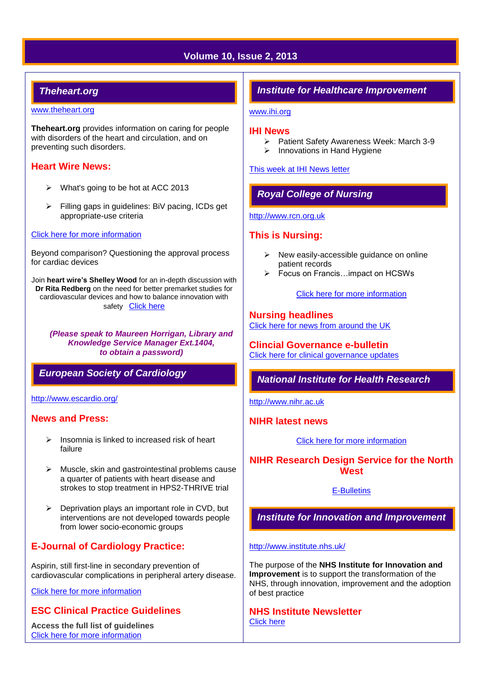# **Volume 10, Issue 2, 2013**

# *Theheart.org*

#### [www.theheart.org](http://www.theheart.org/)

**Theheart.org** provides information on caring for people with disorders of the heart and circulation, and on preventing such disorders.

### **Heart Wire News:**

- $\triangleright$  What's going to be hot at ACC 2013
- Filling gaps in guidelines: BiV pacing, ICDs get appropriate-use criteria

#### [Click here for more information](http://www.theheart.org/section/heartwire.do)

Beyond comparison? Questioning the approval process for cardiac devices

Join **heart wire's Shelley Wood** for an in-depth discussion with **Dr Rita Redberg** on the need for better premarket studies for cardiovascular devices and how to balance innovation with safety[Click here](http://www.theheart.org/editorial-program/1510153.do) 

*(Please speak to Maureen Horrigan, Library and Knowledge Service Manager Ext.1404, to obtain a password)*

# *European Society of Cardiology*

#### <http://www.escardio.org/>

## **News and Press:**

- $\triangleright$  Insomnia is linked to increased risk of heart failure
- $\triangleright$  Muscle, skin and gastrointestinal problems cause a quarter of patients with heart disease and strokes to stop treatment in HPS2-THRIVE trial
- $\triangleright$  Deprivation plays an important role in CVD, but interventions are not developed towards people from lower socio-economic groups

# **E-Journal of Cardiology Practice:**

Aspirin, still first-line in secondary prevention of cardiovascular complications in peripheral artery disease.

[Click here for more information](http://www.escardio.org/communities/councils/ccp/e-journal/volume11/Pages/welcome.aspx)

# **ESC Clinical Practice Guidelines**

**Access the full list of guidelines**  [Click here for more information](http://www.escardio.org/guidelines-surveys/esc-guidelines/Pages/GuidelinesList.aspx)

# *Institute for Healthcare Improvement*

#### [www.ihi.org](http://www.ihi.org/)

#### **IHI News**

- ▶ Patient Safety Awareness Week: March 3-9
- $\triangleright$  Innovations in Hand Hygiene

[This week at IHI News letter](http://www.ihi.org/Documents/ThisWeekatIHI.htm) 

# *Royal College of Nursing*

[http://www.rcn.org.uk](http://www.rcn.org.uk/)

# **This is Nursing:**

- $\triangleright$  New easily-accessible guidance on online patient records
- Focus on Francis…impact on HCSWs

#### [Click here for more information](http://thisisnursing.rcn.org.uk/members/)

# **Nursing headlines**

[Click here for news from around the UK](http://www.rcn.org.uk/newsevents/news)

**Clincial Governance e-bulletin** [Click here for clinical governance updates](http://www.rcn.org.uk/development/practice/clinical_governance/quality_and_safety_e-bulletin/e-bulletin_archive)

# *National Institute for Health Research*

[http://www.nihr.ac.uk](http://www.nihr.ac.uk/)

# **NIHR latest news**

[Click here for more information](http://www.nihr.ac.uk/news/Pages/default.aspx)

# **NIHR Research Design Service for the North West**

[E-Bulletins](http://www.rds-nw.nihr.ac.uk/newstrainingevents/ebulletin.php)

# *Institute for Innovation and Improvement*

#### <http://www.institute.nhs.uk/>

The purpose of the **NHS Institute for Innovation and Improvement** is to support the transformation of the NHS, through innovation, improvement and the adoption of best practice

#### **NHS Institute Newsletter**  [Click here](http://www.institute.nhs.uk/organisation/general/nhs_institute_newsletters.html)